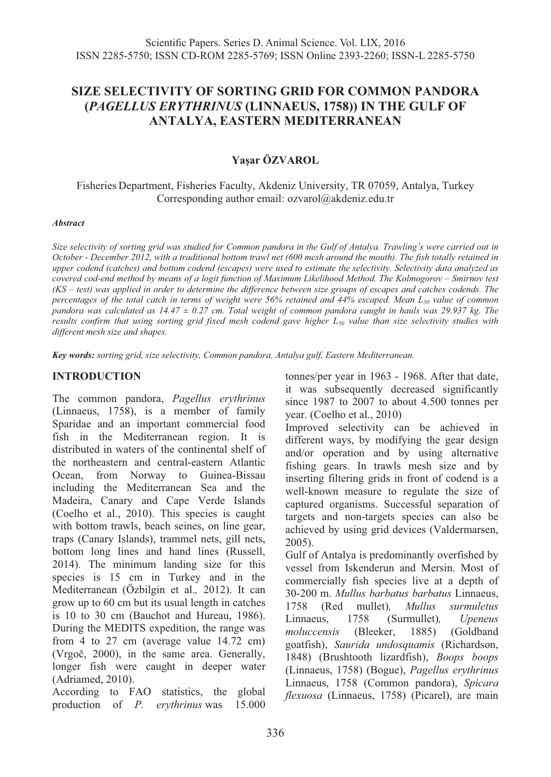# **SIZE SELECTIVITY OF SORTING GRID FOR COMMON PANDORA (***PAGELLUS ERYTHRINUS* **(LINNAEUS, 1758)) IN THE GULF OF ANTALYA, EASTERN MEDITERRANEAN**

## **Yaşar ÖZVAROL**

Fisheries Department, Fisheries Faculty, Akdeniz University, TR 07059, Antalya, Turkey Corresponding author email: ozvarol@akdeniz.edu.tr

#### *Abstract*

*Size selectivity of sorting grid was studied for Common pandora in the Gulf of Antalya. Trawling's were carried out in October - December 2012, with a traditional bottom trawl net (600 mesh around the mouth). The fish totally retained in upper codend (catches) and bottom codend (escapes) were used to estimate the selectivity. Selectivity data analyzed as covered cod-end method by means of a logit function of Maximum Likelihood Method. The Kolmogorov – Smirnov test (KS – test) was applied in order to determine the difference between size groups of escapes and catches codends. The percentages of the total catch in terms of weight were 56% retained and 44% escaped. Mean L<sub>50</sub> value of common pandora was calculated as 14.47 ± 0.27 cm. Total weight of common pandora caught in hauls was 29.937 kg. The results confirm that using sorting grid fixed mesh codend gave higher L50 value than size selectivity studies with different mesh size and shapes.* 

*Key words: sorting grid, size selectivity, Common pandora, Antalya gulf, Eastern Mediterranean.*

### **INTRODUCTION**

The common pandora, *Pagellus erythrinus* (Linnaeus, 1758), is a member of family Sparidae and an important commercial food fish in the Mediterranean region. It is distributed in waters of the continental shelf of the northeastern and central-eastern Atlantic Ocean, from Norway to Guinea-Bissau including the Mediterranean Sea and the Madeira, Canary and Cape Verde Islands (Coelho et al., 2010). This species is caught with bottom trawls, beach seines, on line gear, traps (Canary Islands), trammel nets, gill nets, bottom long lines and hand lines (Russell, 2014). The minimum landing size for this species is 15 cm in Turkey and in the Mediterranean (Özbilgin et al.*,* 2012). It can grow up to 60 cm but its usual length in catches is 10 to 30 cm (Bauchot and Hureau, 1986). During the MEDITS expedition, the range was from 4 to 27 cm (average value 14.72 cm) (Vrgoč, 2000), in the same area. Generally, longer fish were caught in deeper water (Adriamed, 2010).

According to FAO statistics, the global production of *P. erythrinus* was 15.000 tonnes/per year in 1963 - 1968. After that date, it was subsequently decreased significantly since 1987 to 2007 to about 4.500 tonnes per year. (Coelho et al., 2010)

Improved selectivity can be achieved in different ways, by modifying the gear design and/or operation and by using alternative fishing gears. In trawls mesh size and by inserting filtering grids in front of codend is a well-known measure to regulate the size of captured organisms. Successful separation of targets and non-targets species can also be achieved by using grid devices (Valdermarsen, 2005).

Gulf of Antalya is predominantly overfished by vessel from Iskenderun and Mersin. Most of commercially fish species live at a depth of 30-200 m. *Mullus barbatus barbatus* Linnaeus, 1758 (Red mullet)*, Mullus surmuletus* Linnaeus, 1758 (Surmullet)*, Upeneus moluccensis* (Bleeker, 1885) (Goldband goatfish), *Saurida undosquamis* (Richardson, 1848) (Brushtooth lizardfish), *Boops boops* (Linnaeus, 1758) (Bogue), *Pagellus erythrinus*  Linnaeus, 1758 (Common pandora), *Spicara flexuosa* (Linnaeus, 1758) (Picarel), are main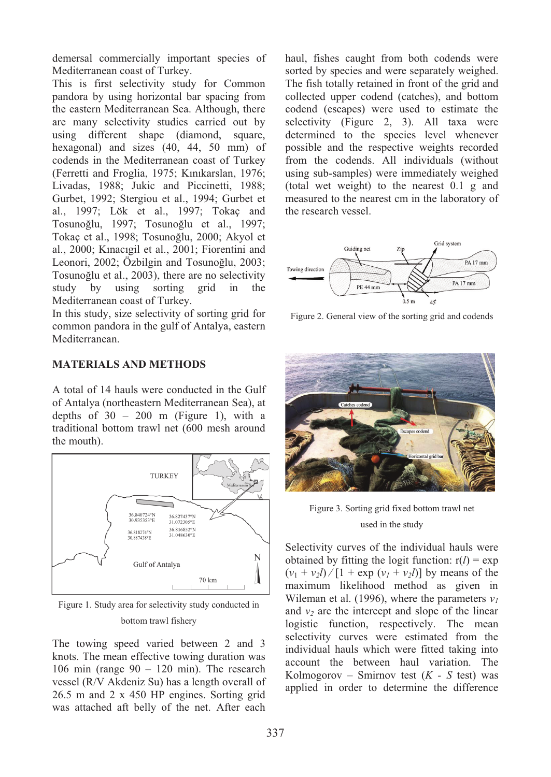demersal commercially important species of Mediterranean coast of Turkey.

This is first selectivity study for Common pandora by using horizontal bar spacing from the eastern Mediterranean Sea. Although, there are many selectivity studies carried out by using different shape (diamond, square, hexagonal) and sizes (40, 44, 50 mm) of codends in the Mediterranean coast of Turkey (Ferretti and Froglia, 1975; Kınıkarslan, 1976; Livadas, 1988; Jukic and Piccinetti, 1988; Gurbet, 1992; Stergiou et al., 1994; Gurbet et al., 1997; Lök et al., 1997; Tokaç and Tosunoğlu, 1997; Tosunoğlu et al., 1997; Tokaç et al., 1998; Tosunoğlu, 2000; Akyol et al., 2000; Kınacıgil et al., 2001; Fiorentini and Leonori, 2002; Özbilgin and Tosunoğlu, 2003; Tosunoğlu et al., 2003), there are no selectivity study by using sorting grid in the Mediterranean coast of Turkey.

In this study, size selectivity of sorting grid for common pandora in the gulf of Antalya, eastern Mediterranean.

## **MATERIALS AND METHODS**

A total of 14 hauls were conducted in the Gulf of Antalya (northeastern Mediterranean Sea), at depths of  $30 - 200$  m (Figure 1), with a traditional bottom trawl net (600 mesh around the mouth).



Figure 1. Study area for selectivity study conducted in bottom trawl fishery

The towing speed varied between 2 and 3 knots. The mean effective towing duration was 106 min (range  $90 - 120$  min). The research vessel (R/V Akdeniz Su) has a length overall of 26.5 m and 2 x 450 HP engines. Sorting grid was attached aft belly of the net. After each

haul, fishes caught from both codends were sorted by species and were separately weighed. The fish totally retained in front of the grid and collected upper codend (catches), and bottom codend (escapes) were used to estimate the selectivity (Figure 2, 3). All taxa were determined to the species level whenever possible and the respective weights recorded from the codends. All individuals (without using sub-samples) were immediately weighed (total wet weight) to the nearest 0.1 g and measured to the nearest cm in the laboratory of the research vessel.



Figure 2. General view of the sorting grid and codends



Figure 3. Sorting grid fixed bottom trawl net used in the study

Selectivity curves of the individual hauls were obtained by fitting the logit function:  $r(l) = \exp$  $(v_1 + v_2 l) / [1 + \exp(v_1 + v_2 l)]$  by means of the maximum likelihood method as given in Wileman et al. (1996), where the parameters  $v_l$ and  $v_2$  are the intercept and slope of the linear logistic function, respectively. The mean selectivity curves were estimated from the individual hauls which were fitted taking into account the between haul variation. The Kolmogorov – Smirnov test (*K - S* test) was applied in order to determine the difference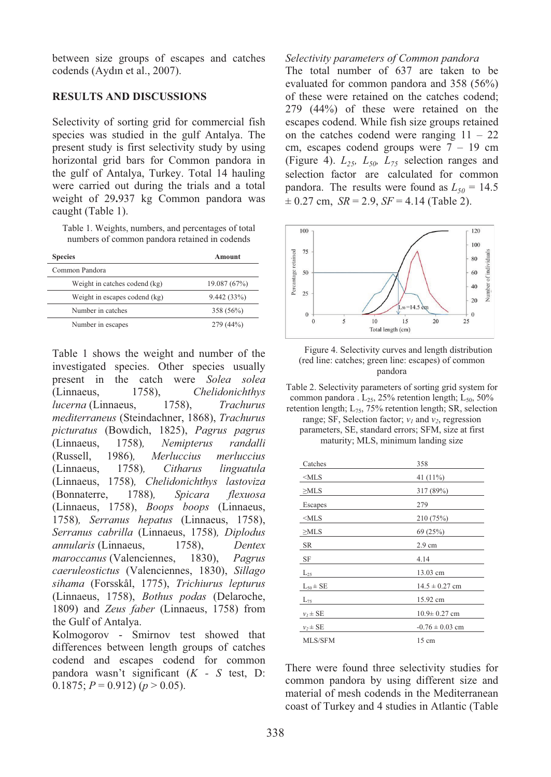between size groups of escapes and catches codends (Aydın et al., 2007).

#### **RESULTS AND DISCUSSIONS**

Selectivity of sorting grid for commercial fish species was studied in the gulf Antalya. The present study is first selectivity study by using horizontal grid bars for Common pandora in the gulf of Antalya, Turkey. Total 14 hauling were carried out during the trials and a total weight of 29**.**937 kg Common pandora was caught (Table 1).

Table 1. Weights, numbers, and percentages of total numbers of common pandora retained in codends

| <b>Species</b>                | Amount       |  |
|-------------------------------|--------------|--|
| Common Pandora                |              |  |
| Weight in catches codend (kg) | 19.087 (67%) |  |
| Weight in escapes codend (kg) | 9.442(33%)   |  |
| Number in catches             | 358 (56%)    |  |
| Number in escapes             | 279 (44%)    |  |

Table 1 shows the weight and number of the investigated species. Other species usually present in the catch were *Solea solea* (Linnaeus, 1758), *Chelidonichthys lucerna* (Linnaeus, 1758), *Trachurus mediterraneus* (Steindachner, 1868), *Trachurus picturatus* (Bowdich, 1825), *Pagrus pagrus*  (Linnaeus, 1758)*, Nemipterus randalli*  (Russell, 1986)*, Merluccius merluccius*  (Linnaeus, 1758)*, Citharus linguatula*  (Linnaeus, 1758)*, Chelidonichthys lastoviza*  (Bonnaterre, 1788)*, Spicara flexuosa*  (Linnaeus, 1758), *Boops boops* (Linnaeus, 1758)*, Serranus hepatus* (Linnaeus, 1758), *Serranus cabrilla* (Linnaeus, 1758)*, Diplodus annularis* (Linnaeus, 1758), *Dentex maroccanus* (Valenciennes, 1830), *Pagrus caeruleostictus* (Valenciennes, 1830), *Sillago sihama* (Forsskål, 1775), *Trichiurus lepturus* (Linnaeus, 1758), *Bothus podas* (Delaroche, 1809) and *Zeus faber* (Linnaeus, 1758) from the Gulf of Antalya.

Kolmogorov - Smirnov test showed that differences between length groups of catches codend and escapes codend for common pandora wasn't significant (*K - S* test, D: 0.1875;  $P = 0.912$ ) ( $p > 0.05$ ).

#### *Selectivity parameters of Common pandora*

The total number of 637 are taken to be evaluated for common pandora and 358 (56%) of these were retained on the catches codend; 279 (44%) of these were retained on the escapes codend. While fish size groups retained on the catches codend were ranging  $11 - 22$ cm, escapes codend groups were  $7 - 19$  cm (Figure 4).  $L_{25}$ ,  $L_{50}$ ,  $L_{75}$  selection ranges and selection factor are calculated for common pandora. The results were found as  $L_{50} = 14.5$  $\pm$  0.27 cm, *SR* = 2.9, *SF* = 4.14 (Table 2).



Figure 4. Selectivity curves and length distribution (red line: catches; green line: escapes) of common pandora

Table 2. Selectivity parameters of sorting grid system for common pandora .  $L_{25}$ , 25% retention length;  $L_{50}$ , 50% retention length;  $L_{75}$ , 75% retention length; SR, selection

range; SF, Selection factor;  $v_1$  and  $v_2$ , regression parameters, SE, standard errors; SFM, size at first maturity; MLS, minimum landing size

| Catches         | 358                 |  |  |
|-----------------|---------------------|--|--|
| $<$ MLS         | 41 (11%)            |  |  |
| $\geq$ MLS      | 317 (89%)           |  |  |
| Escapes         | 279                 |  |  |
| $<$ MLS         | 210 (75%)           |  |  |
| $\geq$ MLS      | 69(25%)             |  |  |
| <b>SR</b>       | $2.9 \text{ cm}$    |  |  |
|                 |                     |  |  |
| SF              | 4.14                |  |  |
| $L_{25}$        | 13.03 cm            |  |  |
| $L_{50} \pm SE$ | $14.5 \pm 0.27$ cm  |  |  |
| $L_{75}$        | 15.92 cm            |  |  |
| $v_1 \pm SE$    | $10.9 \pm 0.27$ cm  |  |  |
| $v_2 \pm SE$    | $-0.76 \pm 0.03$ cm |  |  |

There were found three selectivity studies for common pandora by using different size and material of mesh codends in the Mediterranean coast of Turkey and 4 studies in Atlantic (Table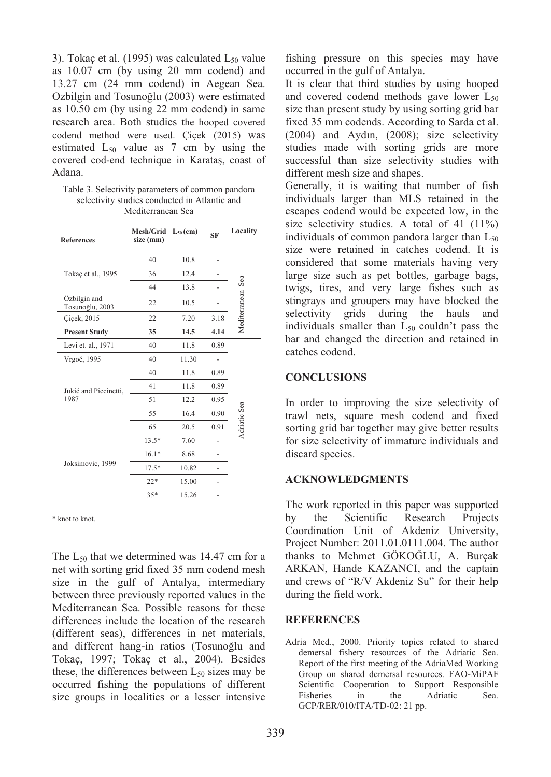3). Tokaç et al. (1995) was calculated  $L_{50}$  value as 10.07 cm (by using 20 mm codend) and 13.27 cm (24 mm codend) in Aegean Sea. Ozbilgin and Tosunoğlu (2003) were estimated as 10.50 cm (by using 22 mm codend) in same research area. Both studies the hooped covered codend method were used. Çiçek (2015) was estimated  $L_{50}$  value as 7 cm by using the covered cod-end technique in Karataş, coast of Adana.

Table 3. Selectivity parameters of common pandora selectivity studies conducted in Atlantic and Mediterranean Sea

| <b>References</b>               | Mesh/Grid<br>size (mm) | $L_{50}$ (cm) | <b>SF</b> | Locality      |
|---------------------------------|------------------------|---------------|-----------|---------------|
| Tokaç et al., 1995              | 40                     | 10.8          |           | Sea           |
|                                 | 36                     | 12.4          |           |               |
|                                 | 44                     | 13.8          |           |               |
| Özbilgin and<br>Tosunoğlu, 2003 | 22                     | 10.5          |           |               |
| Cicek, 2015                     | 22                     | 7.20          | 3.18      | Mediterranean |
| <b>Present Study</b>            | 35                     | 14.5          | 4.14      |               |
| Levi et. al., 1971              | 40                     | 11.8          | 0.89      |               |
| Vrgoč, 1995                     | 40                     | 11.30         |           |               |
| Jukić and Piccinetti,<br>1987   | 40                     | 11.8          | 0.89      |               |
|                                 | 41                     | 11.8          | 0.89      |               |
|                                 | 51                     | 12.2          | 0.95      |               |
|                                 | 55                     | 16.4          | 0.90      | Adriatic Sea  |
|                                 | 65                     | 20.5          | 0.91      |               |
| Joksimovic, 1999                | $13.5*$                | 7.60          |           |               |
|                                 | $16.1*$                | 8.68          |           |               |
|                                 | $17.5*$                | 10.82         |           |               |
|                                 | $22*$                  | 15.00         |           |               |
|                                 | $35*$                  | 15.26         |           |               |
|                                 |                        |               |           |               |

\* knot to knot.

The L<sub>50</sub> that we determined was 14.47 cm for a net with sorting grid fixed 35 mm codend mesh size in the gulf of Antalya, intermediary between three previously reported values in the Mediterranean Sea. Possible reasons for these differences include the location of the research (different seas), differences in net materials, and different hang-in ratios (Tosunoğlu and Tokaç, 1997; Tokaç et al., 2004). Besides these, the differences between  $L_{50}$  sizes may be occurred fishing the populations of different size groups in localities or a lesser intensive fishing pressure on this species may have occurred in the gulf of Antalya.

It is clear that third studies by using hooped and covered codend methods gave lower  $L_{50}$ size than present study by using sorting grid bar fixed 35 mm codends. According to Sarda et al. (2004) and Aydın, (2008); size selectivity studies made with sorting grids are more successful than size selectivity studies with different mesh size and shapes.

Generally, it is waiting that number of fish individuals larger than MLS retained in the escapes codend would be expected low, in the size selectivity studies. A total of 41  $(11\%)$ individuals of common pandora larger than  $L_{50}$ size were retained in catches codend. It is considered that some materials having very large size such as pet bottles, garbage bags, twigs, tires, and very large fishes such as stingrays and groupers may have blocked the selectivity grids during the hauls and individuals smaller than  $L_{50}$  couldn't pass the bar and changed the direction and retained in catches codend.

#### **CONCLUSIONS**

In order to improving the size selectivity of trawl nets, square mesh codend and fixed sorting grid bar together may give better results for size selectivity of immature individuals and discard species.

### **ACKNOWLEDGMENTS**

The work reported in this paper was supported by the Scientific Research Projects Coordination Unit of Akdeniz University, Project Number: 2011.01.0111.004. The author thanks to Mehmet GÖKOĞLU, A. Burçak ARKAN, Hande KAZANCI, and the captain and crews of "R/V Akdeniz Su" for their help during the field work.

### **REFERENCES**

Adria Med., 2000. Priority topics related to shared demersal fishery resources of the Adriatic Sea. Report of the first meeting of the AdriaMed Working Group on shared demersal resources. FAO-MiPAF Scientific Cooperation to Support Responsible<br>Fisheries in the Adriatic Sea. Fisheries in the Adriatic Sea. GCP/RER/010/ITA/TD-02: 21 pp.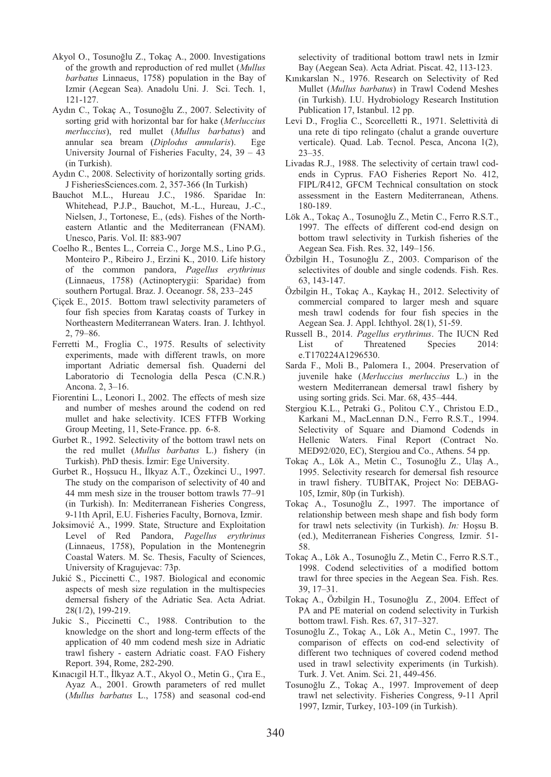- Akyol O., Tosunoğlu Z., Tokaç A., 2000. Investigations of the growth and reproduction of red mullet (*Mullus barbatus* Linnaeus, 1758) population in the Bay of Izmir (Aegean Sea). Anadolu Uni. J. Sci. Tech. 1, 121-127.
- Aydın C., Tokaç A., Tosunoğlu Z., 2007. Selectivity of sorting grid with horizontal bar for hake (*Merluccius merluccius*), red mullet (*Mullus barbatus*) and annular sea bream (*Diplodus annularis*). Ege University Journal of Fisheries Faculty, 24, 39 – 43 (in Turkish).
- Aydın C., 2008. Selectivity of horizontally sorting grids. J FisheriesSciences.com. 2, 357-366 (In Turkish)
- Bauchot M.L., Hureau J.C., 1986. Sparidae In: Whitehead, P.J.P., Bauchot, M.-L., Hureau, J.-C., Nielsen, J., Tortonese, E., (eds). Fishes of the Northeastern Atlantic and the Mediterranean (FNAM). Unesco, Paris. Vol. II: 883-907
- Coelho R., Bentes L., Correia C., Jorge M.S., Lino P.G., Monteiro P., Ribeiro J., Erzini K., 2010. Life history of the common pandora, *Pagellus erythrinus*  (Linnaeus, 1758) (Actinopterygii: Sparidae) from southern Portugal. Braz. J. Oceanogr. 58, 233–245
- Çiçek E., 2015. Bottom trawl selectivity parameters of four fish species from Karataş coasts of Turkey in Northeastern Mediterranean Waters. Iran. J. Ichthyol. 2, 79–86.
- Ferretti M., Froglia C., 1975. Results of selectivity experiments, made with different trawls, on more important Adriatic demersal fish. Quaderni del Laboratorio di Tecnologia della Pesca (C.N.R.) Ancona. 2, 3–16.
- Fiorentini L., Leonori I., 2002. The effects of mesh size and number of meshes around the codend on red mullet and hake selectivity. ICES FTFB Working Group Meeting, 11, Sete-France. pp. 6-8.
- Gurbet R., 1992. Selectivity of the bottom trawl nets on the red mullet (*Mullus barbatus* L.) fishery (in Turkish). PhD thesis. İzmir: Ege University.
- Gurbet R., Hoşsucu H., İlkyaz A.T., Özekinci U., 1997. The study on the comparison of selectivity of 40 and 44 mm mesh size in the trouser bottom trawls 77–91 (in Turkish). In: Mediterranean Fisheries Congress, 9-11th April, E.U. Fisheries Faculty, Bornova, Izmir.
- Joksimović A., 1999. State, Structure and Exploitation Level of Red Pandora, *Pagellus erythrinus* (Linnaeus, 1758), Population in the Montenegrin Coastal Waters. M. Sc. Thesis, Faculty of Sciences, University of Kragujevac: 73p.
- Jukić S., Piccinetti C., 1987. Biological and economic aspects of mesh size regulation in the multispecies demersal fishery of the Adriatic Sea. Acta Adriat. 28(1/2), 199-219.
- Jukic S., Piccinetti C., 1988. Contribution to the knowledge on the short and long-term effects of the application of 40 mm codend mesh size in Adriatic trawl fishery - eastern Adriatic coast. FAO Fishery Report. 394, Rome, 282-290.
- Kınacıgil H.T., İlkyaz A.T., Akyol O., Metin G., Çıra E., Ayaz A., 2001. Growth parameters of red mullet (*Mullus barbatus* L., 1758) and seasonal cod-end

selectivity of traditional bottom trawl nets in Izmir Bay (Aegean Sea). Acta Adriat. Piscat. 42, 113-123.

- Kınıkarslan N., 1976. Research on Selectivity of Red Mullet (*Mullus barbatus*) in Trawl Codend Meshes (in Turkish). I.U. Hydrobiology Research Institution Publication 17, Istanbul. 12 pp.
- Levi D., Froglia C., Scorcelletti R., 1971. Selettività di una rete di tipo relingato (chalut a grande ouverture verticale). Quad. Lab. Tecnol. Pesca, Ancona 1(2), 23–35.
- Livadas R.J., 1988. The selectivity of certain trawl codends in Cyprus. FAO Fisheries Report No. 412, FIPL/R412, GFCM Technical consultation on stock assessment in the Eastern Mediterranean, Athens. 180-189.
- Lök A., Tokaç A., Tosunoğlu Z., Metin C., Ferro R.S.T., 1997. The effects of different cod-end design on bottom trawl selectivity in Turkish fisheries of the Aegean Sea. Fish. Res. 32, 149–156.
- Özbilgin H., Tosunoğlu Z., 2003. Comparison of the selectivites of double and single codends. Fish. Res. 63, 143-147.
- Özbilgin H., Tokaç A., Kaykaç H., 2012. Selectivity of commercial compared to larger mesh and square mesh trawl codends for four fish species in the Aegean Sea. J. Appl. Ichthyol. 28(1), 51-59.
- Russell B., 2014. *Pagellus erythrinus*. The IUCN Red List of Threatened Species 2014: e.T170224A1296530.
- Sarda F., Moli B., Palomera I., 2004. Preservation of juvenile hake (*Merluccius merluccius* L.) in the western Mediterranean demersal trawl fishery by using sorting grids. Sci. Mar. 68, 435–444.
- Stergiou K.L., Petraki G., Politou C.Y., Christou E.D., Karkani M., MacLennan D.N., Ferro R.S.T., 1994. Selectivity of Square and Diamond Codends in Hellenic Waters. Final Report (Contract No. MED92/020, EC), Stergiou and Co., Athens. 54 pp.
- Tokaç A., Lök A., Metin C., Tosunoğlu Z., Ulaş A., 1995. Selectivity research for demersal fish resource in trawl fishery. TUBİTAK, Project No: DEBAG-105, Izmir, 80p (in Turkish).
- Tokaç A., Tosunoğlu Z., 1997. The importance of relationship between mesh shape and fish body form for trawl nets selectivity (in Turkish). *In:* Hoşsu B. (ed.), Mediterranean Fisheries Congress*,* Izmir. 51- 58.
- Tokaç A., Lök A., Tosunoğlu Z., Metin C., Ferro R.S.T., 1998. Codend selectivities of a modified bottom trawl for three species in the Aegean Sea. Fish. Res. 39, 17–31.
- Tokaç A., Özbilgin H., Tosunoğlu Z., 2004. Effect of PA and PE material on codend selectivity in Turkish bottom trawl. Fish. Res. 67, 317–327.
- Tosunoğlu Z., Tokaç A., Lök A., Metin C., 1997. The comparison of effects on cod-end selectivity of different two techniques of covered codend method used in trawl selectivity experiments (in Turkish). Turk. J. Vet. Anim. Sci. 21, 449-456.
- Tosunoğlu Z., Tokaç A., 1997. Improvement of deep trawl net selectivity. Fisheries Congress, 9-11 April 1997, Izmir, Turkey, 103-109 (in Turkish).